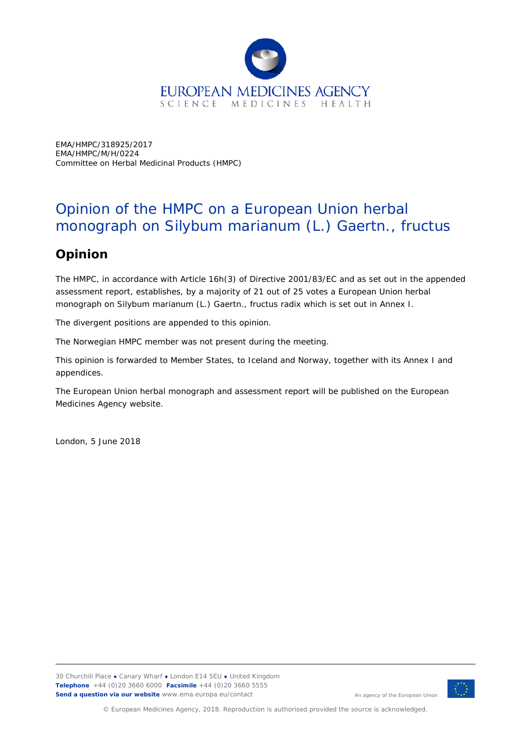

EMA/HMPC/318925/2017 EMA/HMPC/M/H/0224 Committee on Herbal Medicinal Products (HMPC)

## Opinion of the HMPC on a European Union herbal monograph on *Silybum marianum* (L.) Gaertn., fructus

## **Opinion**

The HMPC, in accordance with Article 16h(3) of Directive 2001/83/EC and as set out in the appended assessment report, establishes, by a majority of 21 out of 25 votes a European Union herbal monograph on *Silybum marianum* (L.) Gaertn., fructus radix which is set out in Annex I.

The divergent positions are appended to this opinion.

The Norwegian HMPC member was not present during the meeting.

This opinion is forwarded to Member States, to Iceland and Norway, together with its Annex I and appendices.

The European Union herbal monograph and assessment report will be published on the European Medicines Agency website.

London, 5 June 2018



An agency of the European Union

© European Medicines Agency, 2018. Reproduction is authorised provided the source is acknowledged.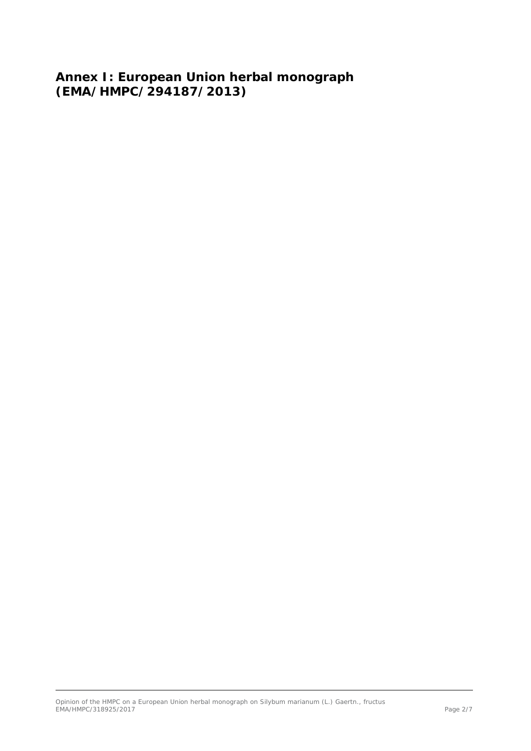**Annex I: European Union herbal monograph (EMA/HMPC/294187/2013)**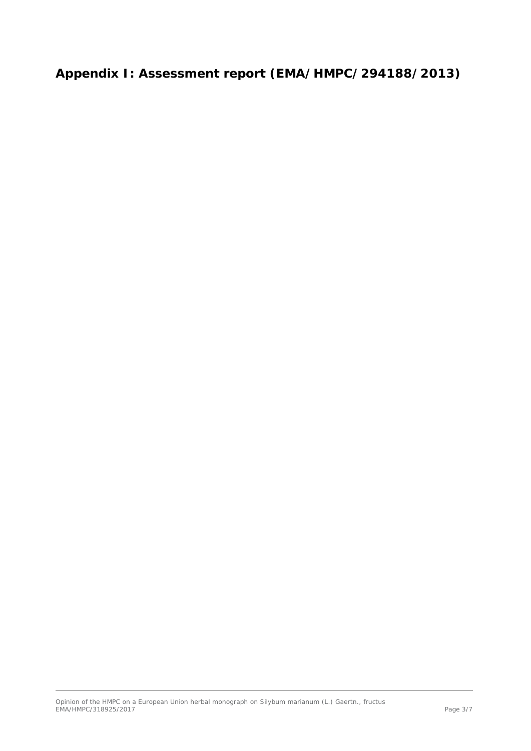**Appendix I: Assessment report (EMA/HMPC/294188/2013)**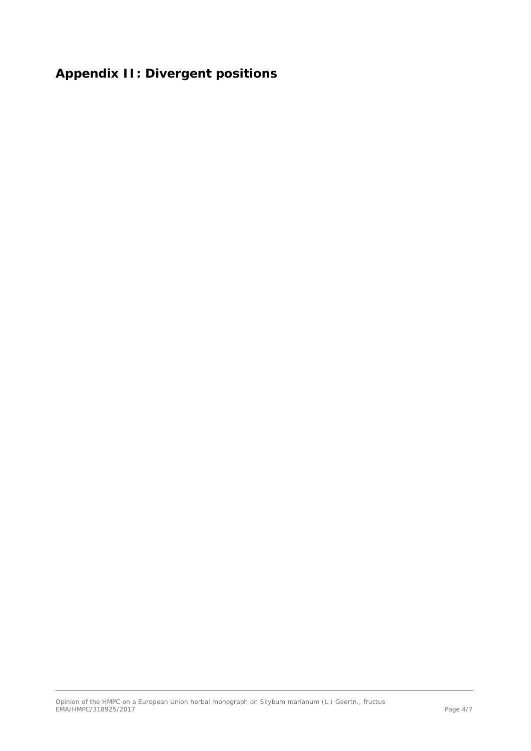## **Appendix II: Divergent positions**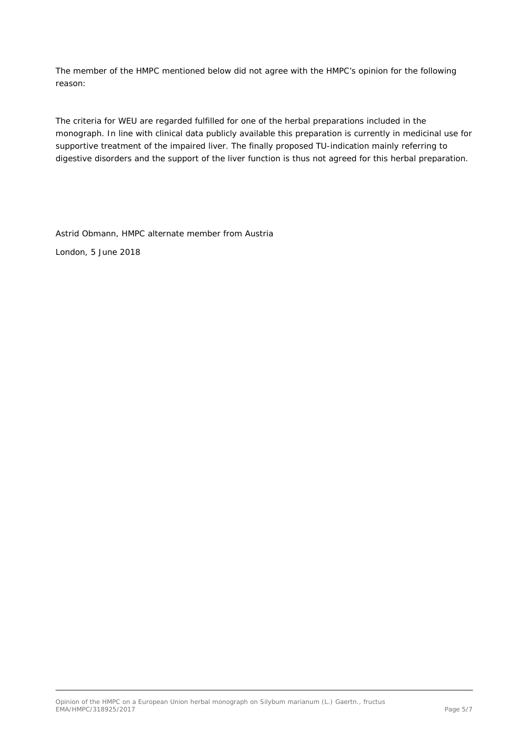The member of the HMPC mentioned below did not agree with the HMPC's opinion for the following reason:

The criteria for WEU are regarded fulfilled for one of the herbal preparations included in the monograph. In line with clinical data publicly available this preparation is currently in medicinal use for supportive treatment of the impaired liver. The finally proposed TU-indication mainly referring to digestive disorders and the support of the liver function is thus not agreed for this herbal preparation.

Astrid Obmann, HMPC alternate member from Austria

London, 5 June 2018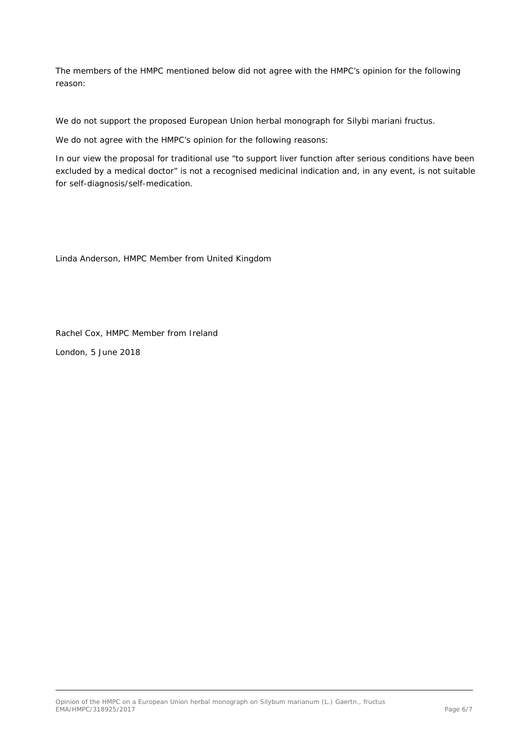The members of the HMPC mentioned below did not agree with the HMPC's opinion for the following reason:

We do not support the proposed European Union herbal monograph for Silybi mariani fructus.

We do not agree with the HMPC's opinion for the following reasons:

In our view the proposal for traditional use "*to support liver function after serious conditions have been excluded by a medical doctor*" is not a recognised medicinal indication and, in any event, is not suitable for self-diagnosis/self-medication.

Linda Anderson, HMPC Member from United Kingdom

Rachel Cox, HMPC Member from Ireland London, 5 June 2018